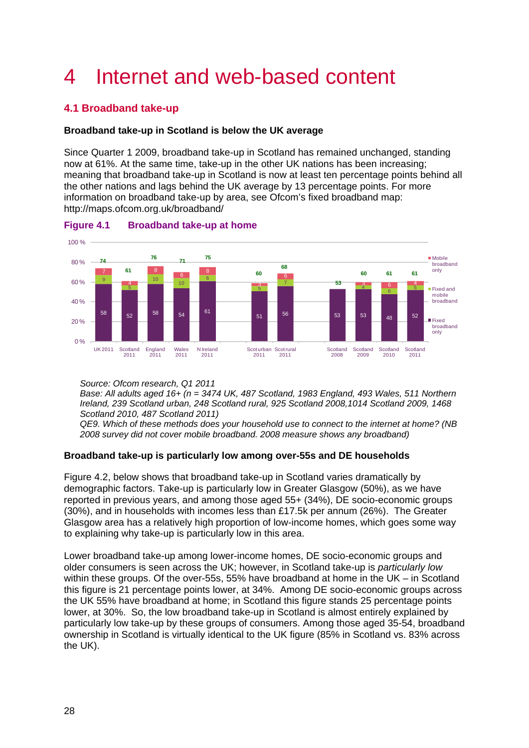# 4 Internet and web-based content

# **4.1 Broadband take-up**

## **Broadband take-up in Scotland is below the UK average**

Since Quarter 1 2009, broadband take-up in Scotland has remained unchanged, standing now at 61%. At the same time, take-up in the other UK nations has been increasing; meaning that broadband take-up in Scotland is now at least ten percentage points behind all the other nations and lags behind the UK average by 13 percentage points. For more information on broadband take-up by area, see Ofcom's fixed broadband map: http://maps.ofcom.org.uk/broadband/



**Figure 4.1 Broadband take-up at home** 

*Source: Ofcom research, Q1 2011* 

*Base: All adults aged 16+ (n = 3474 UK, 487 Scotland, 1983 England, 493 Wales, 511 Northern Ireland, 239 Scotland urban, 248 Scotland rural, 925 Scotland 2008,1014 Scotland 2009, 1468 Scotland 2010, 487 Scotland 2011)* 

*QE9. Which of these methods does your household use to connect to the internet at home? (NB 2008 survey did not cover mobile broadband. 2008 measure shows any broadband)* 

## **Broadband take-up is particularly low among over-55s and DE households**

[Figure 4.2,](#page-1-0) below shows that broadband take-up in Scotland varies dramatically by demographic factors. Take-up is particularly low in Greater Glasgow (50%), as we have reported in previous years, and among those aged 55+ (34%), DE socio-economic groups (30%), and in households with incomes less than £17.5k per annum (26%). The Greater Glasgow area has a relatively high proportion of low-income homes, which goes some way to explaining why take-up is particularly low in this area.

Lower broadband take-up among lower-income homes, DE socio-economic groups and older consumers is seen across the UK; however, in Scotland take-up is *particularly low* within these groups. Of the over-55s, 55% have broadband at home in the UK – in Scotland this figure is 21 percentage points lower, at 34%. Among DE socio-economic groups across the UK 55% have broadband at home; in Scotland this figure stands 25 percentage points lower, at 30%. So, the low broadband take-up in Scotland is almost entirely explained by particularly low take-up by these groups of consumers. Among those aged 35-54, broadband ownership in Scotland is virtually identical to the UK figure (85% in Scotland vs. 83% across the UK).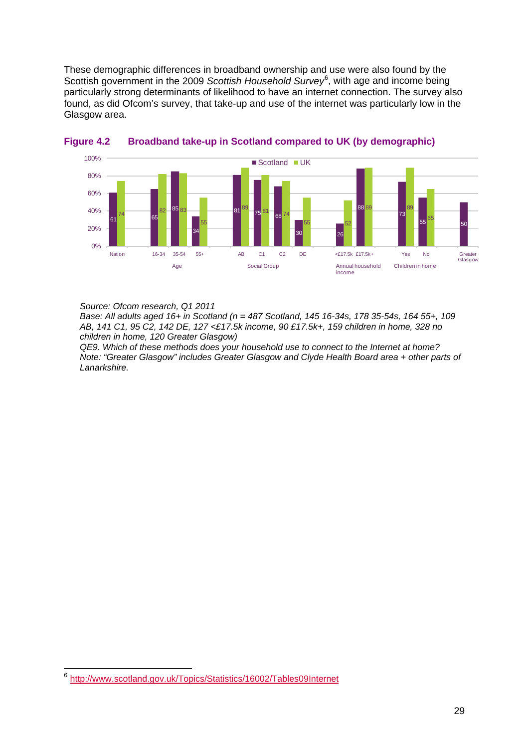These demographic differences in broadband ownership and use were also found by the Scottish government in the 2009 Scottish Household Survey<sup>[6](#page-1-1)</sup>, with age and income being particularly strong determinants of likelihood to have an internet connection. The survey also found, as did Ofcom's survey, that take-up and use of the internet was particularly low in the Glasgow area.



<span id="page-1-0"></span>

*Source: Ofcom research, Q1 2011* 

*Base: All adults aged 16+ in Scotland (n = 487 Scotland, 145 16-34s, 178 35-54s, 164 55+, 109 AB, 141 C1, 95 C2, 142 DE, 127 <£17.5k income, 90 £17.5k+, 159 children in home, 328 no children in home, 120 Greater Glasgow)* 

*QE9. Which of these methods does your household use to connect to the Internet at home? Note: "Greater Glasgow" includes Greater Glasgow and Clyde Health Board area + other parts of Lanarkshire.* 

<span id="page-1-1"></span> <sup>6</sup> <http://www.scotland.gov.uk/Topics/Statistics/16002/Tables09Internet>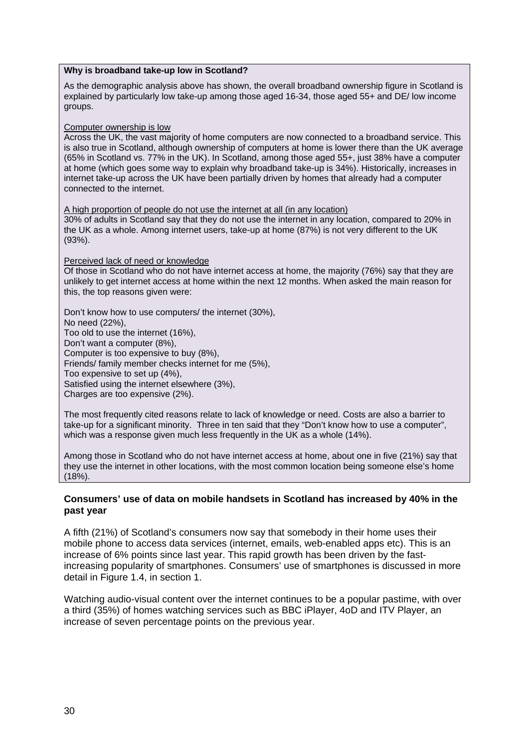#### **Why is broadband take-up low in Scotland?**

As the demographic analysis above has shown, the overall broadband ownership figure in Scotland is explained by particularly low take-up among those aged 16-34, those aged 55+ and DE/ low income groups.

#### Computer ownership is low

Across the UK, the vast majority of home computers are now connected to a broadband service. This is also true in Scotland, although ownership of computers at home is lower there than the UK average (65% in Scotland vs. 77% in the UK). In Scotland, among those aged 55+, just 38% have a computer at home (which goes some way to explain why broadband take-up is 34%). Historically, increases in internet take-up across the UK have been partially driven by homes that already had a computer connected to the internet.

A high proportion of people do not use the internet at all (in any location) 30% of adults in Scotland say that they do not use the internet in any location, compared to 20% in the UK as a whole. Among internet users, take-up at home (87%) is not very different to the UK (93%).

Perceived lack of need or knowledge

Of those in Scotland who do not have internet access at home, the majority (76%) say that they are unlikely to get internet access at home within the next 12 months. When asked the main reason for this, the top reasons given were:

Don't know how to use computers/ the internet (30%), No need (22%), Too old to use the internet (16%), Don't want a computer (8%), Computer is too expensive to buy (8%), Friends/ family member checks internet for me (5%), Too expensive to set up (4%), Satisfied using the internet elsewhere (3%), Charges are too expensive (2%).

The most frequently cited reasons relate to lack of knowledge or need. Costs are also a barrier to take-up for a significant minority. Three in ten said that they "Don't know how to use a computer", which was a response given much less frequently in the UK as a whole (14%).

Among those in Scotland who do not have internet access at home, about one in five (21%) say that they use the internet in other locations, with the most common location being someone else's home (18%).

#### **Consumers' use of data on mobile handsets in Scotland has increased by 40% in the past year**

A fifth (21%) of Scotland's consumers now say that somebody in their home uses their mobile phone to access data services (internet, emails, web-enabled apps etc). This is an increase of 6% points since last year. This rapid growth has been driven by the fastincreasing popularity of smartphones. Consumers' use of smartphones is discussed in more detail in Figure 1.4, in section 1.

Watching audio-visual content over the internet continues to be a popular pastime, with over a third (35%) of homes watching services such as BBC iPlayer, 4oD and ITV Player, an increase of seven percentage points on the previous year.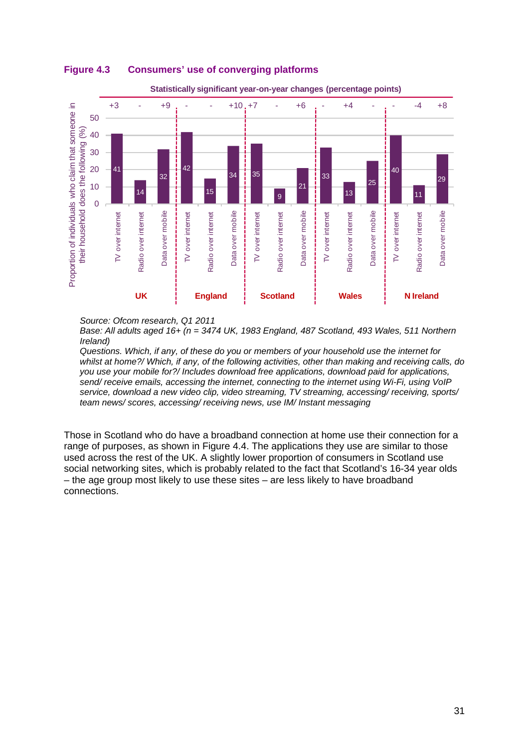

### **Figure 4.3 Consumers' use of converging platforms**



*Source: Ofcom research, Q1 2011* 

*Base: All adults aged 16+ (n = 3474 UK, 1983 England, 487 Scotland, 493 Wales, 511 Northern Ireland)* 

*Questions. Which, if any, of these do you or members of your household use the internet for whilst at home?/ Which, if any, of the following activities, other than making and receiving calls, do you use your mobile for?/ Includes download free applications, download paid for applications, send/ receive emails, accessing the internet, connecting to the internet using Wi-Fi, using VoIP service, download a new video clip, video streaming, TV streaming, accessing/ receiving, sports/ team news/ scores, accessing/ receiving news, use IM/ Instant messaging*

Those in Scotland who do have a broadband connection at home use their connection for a range of purposes, as shown in [Figure 4.4.](#page-4-0) The applications they use are similar to those used across the rest of the UK. A slightly lower proportion of consumers in Scotland use social networking sites, which is probably related to the fact that Scotland's 16-34 year olds – the age group most likely to use these sites – are less likely to have broadband connections.